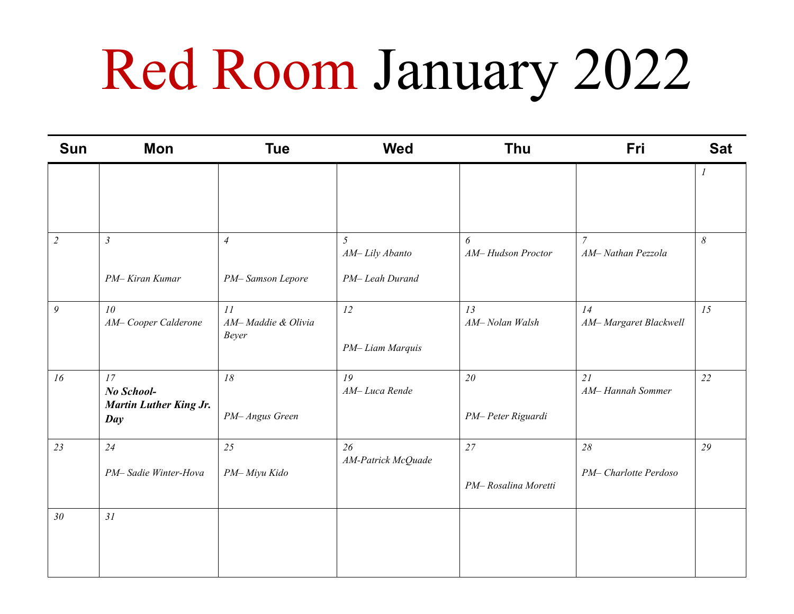## Red Room January 2022

| <b>Sun</b>      | <b>Mon</b>                                        | <b>Tue</b>                        | <b>Wed</b>                       | Thu                       | Fri                                 | <b>Sat</b>            |
|-----------------|---------------------------------------------------|-----------------------------------|----------------------------------|---------------------------|-------------------------------------|-----------------------|
|                 |                                                   |                                   |                                  |                           |                                     | 1                     |
| $\overline{2}$  | $\mathfrak{Z}$                                    | $\overline{4}$                    | 5 <sup>5</sup><br>AM-Lily Abanto | 6<br>AM-Hudson Proctor    | $\overline{7}$<br>AM-Nathan Pezzola | $\boldsymbol{\delta}$ |
|                 | PM-Kiran Kumar                                    | PM-Samson Lepore                  | PM-Leah Durand                   |                           |                                     |                       |
| 9               | 10<br>AM-Cooper Calderone                         | 11<br>AM-Maddie & Olivia<br>Beyer | 12<br>PM-Liam Marquis            | 13<br>AM-Nolan Walsh      | 14<br>AM-Margaret Blackwell         | 15                    |
| 16              | 17<br>No School-<br><b>Martin Luther King Jr.</b> | 18                                | 19<br>AM-Luca Rende              | 20                        | 21<br>AM-Hannah Sommer              | 22                    |
|                 | Day                                               | PM- Angus Green                   |                                  | PM-Peter Riguardi         |                                     |                       |
| 23              | 24<br>PM-Sadie Winter-Hova                        | 25<br>PM-Miyu Kido                | 26<br>AM-Patrick McQuade         | 27<br>PM-Rosalina Moretti | 28<br>PM- Charlotte Perdoso         | 29                    |
| 30 <sup>°</sup> | 31                                                |                                   |                                  |                           |                                     |                       |
|                 |                                                   |                                   |                                  |                           |                                     |                       |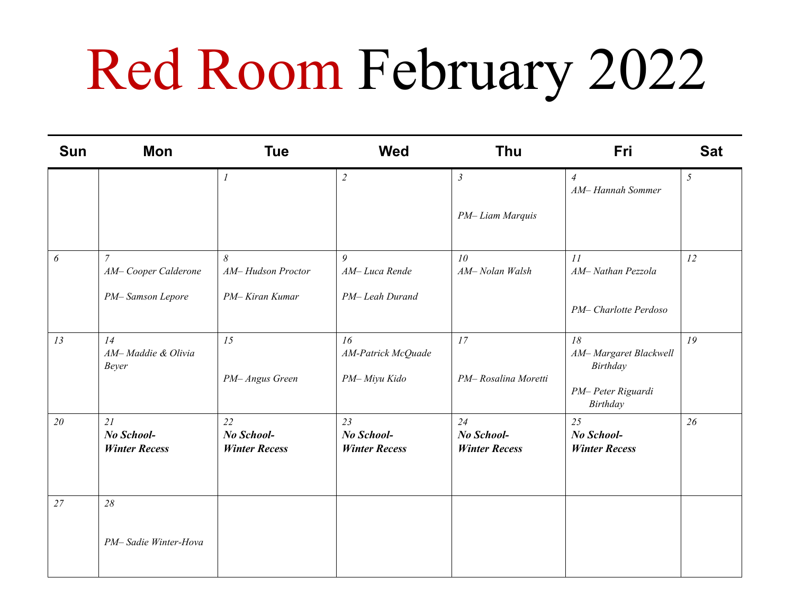## Red Room February 2022

| <b>Sun</b> | Mon                                      | <b>Tue</b>                               | <b>Wed</b>                               | <b>Thu</b>                               | <b>Fri</b>                               | <b>Sat</b> |
|------------|------------------------------------------|------------------------------------------|------------------------------------------|------------------------------------------|------------------------------------------|------------|
|            |                                          | $\boldsymbol{l}$                         | $\overline{2}$                           | $\mathfrak{Z}$                           | $\overline{4}$<br>AM-Hannah Sommer       | 5          |
|            |                                          |                                          |                                          | PM-Liam Marquis                          |                                          |            |
| 6          | $\overline{7}$<br>AM-Cooper Calderone    | 8<br>AM-Hudson Proctor                   | 9<br>AM-Luca Rende                       | 10<br>AM-Nolan Walsh                     | 11<br>AM-Nathan Pezzola                  | 12         |
|            | PM-Samson Lepore                         | PM-Kiran Kumar                           | PM-Leah Durand                           |                                          | PM-Charlotte Perdoso                     |            |
| 13         | 14<br>AM-Maddie & Olivia<br><b>Beyer</b> | 15                                       | 16<br>AM-Patrick McQuade                 | 17                                       | 18<br>AM-Margaret Blackwell<br>Birthday  | 19         |
|            |                                          | PM-Angus Green                           | PM-Miyu Kido                             | PM-Rosalina Moretti                      | PM-Peter Riguardi<br>Birthday            |            |
| 20         | 21<br>No School-<br><b>Winter Recess</b> | 22<br>No School-<br><b>Winter Recess</b> | 23<br>No School-<br><b>Winter Recess</b> | 24<br>No School-<br><b>Winter Recess</b> | 25<br>No School-<br><b>Winter Recess</b> | 26         |
| 27         | 28                                       |                                          |                                          |                                          |                                          |            |
|            | PM-Sadie Winter-Hova                     |                                          |                                          |                                          |                                          |            |